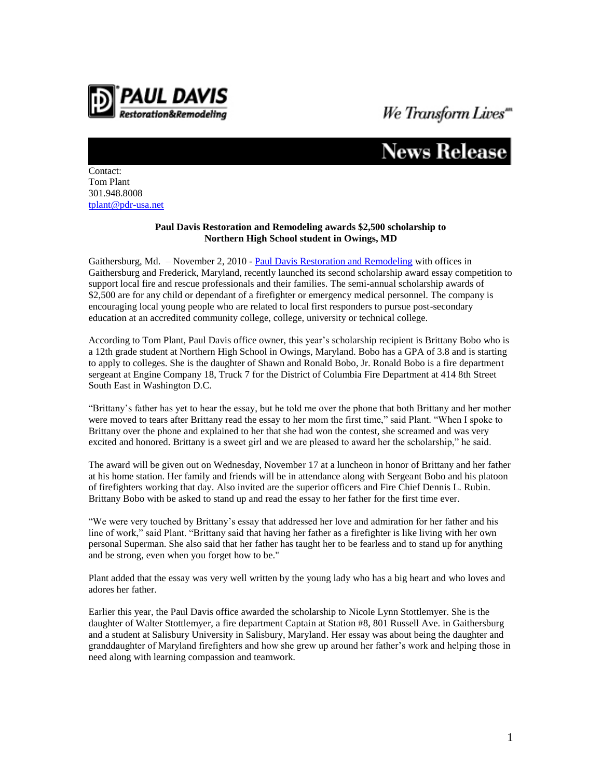

## *We Transform Lives*"<br>**News Release**

Contact: Tom Plant 301.948.8008 [tplant@pdr-usa.net](mailto:tplant@pdr-usa.net)

## **Paul Davis Restoration and Remodeling awards \$2,500 scholarship to Northern High School student in Owings, MD**

Gaithersburg, Md. – November 2, 2010 - [Paul Davis Restoration and Remodeling](http://www.pdrmontgomery.com/) with offices in Gaithersburg and Frederick, Maryland, recently launched its second scholarship award essay competition to support local fire and rescue professionals and their families. The semi-annual scholarship awards of \$2,500 are for any child or dependant of a firefighter or emergency medical personnel. The company is encouraging local young people who are related to local first responders to pursue post-secondary education at an accredited community college, college, university or technical college.

According to Tom Plant, Paul Davis office owner, this year's scholarship recipient is Brittany Bobo who is a 12th grade student at Northern High School in Owings, Maryland. Bobo has a GPA of 3.8 and is starting to apply to colleges. She is the daughter of Shawn and Ronald Bobo, Jr. Ronald Bobo is a fire department sergeant at Engine Company 18, Truck 7 for the District of Columbia Fire Department at 414 8th Street South East in Washington D.C.

"Brittany's father has yet to hear the essay, but he told me over the phone that both Brittany and her mother were moved to tears after Brittany read the essay to her mom the first time," said Plant. "When I spoke to Brittany over the phone and explained to her that she had won the contest, she screamed and was very excited and honored. Brittany is a sweet girl and we are pleased to award her the scholarship," he said.

The award will be given out on Wednesday, November 17 at a luncheon in honor of Brittany and her father at his home station. Her family and friends will be in attendance along with Sergeant Bobo and his platoon of firefighters working that day. Also invited are the superior officers and Fire Chief Dennis L. Rubin. Brittany Bobo with be asked to stand up and read the essay to her father for the first time ever.

"We were very touched by Brittany's essay that addressed her love and admiration for her father and his line of work," said Plant. "Brittany said that having her father as a firefighter is like living with her own personal Superman. She also said that her father has taught her to be fearless and to stand up for anything and be strong, even when you forget how to be."

Plant added that the essay was very well written by the young lady who has a big heart and who loves and adores her father.

Earlier this year, the Paul Davis office awarded the scholarship to Nicole Lynn Stottlemyer. She is the daughter of Walter Stottlemyer, a fire department Captain at Station #8, 801 Russell Ave. in Gaithersburg and a student at Salisbury University in Salisbury, Maryland. Her essay was about being the daughter and granddaughter of Maryland firefighters and how she grew up around her father's work and helping those in need along with learning compassion and teamwork.